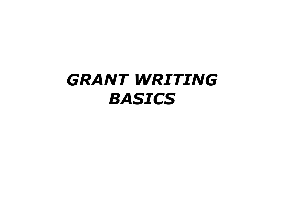# *GRANT WRITING BASICS*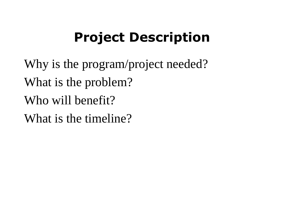### **Project Description**

Why is the program/project needed? What is the problem? Who will benefit? What is the timeline?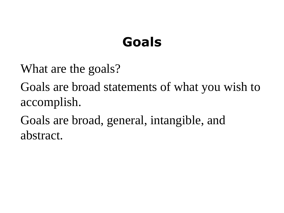### **Goals**

What are the goals?

Goals are broad statements of what you wish to accomplish.

Goals are broad, general, intangible, and abstract.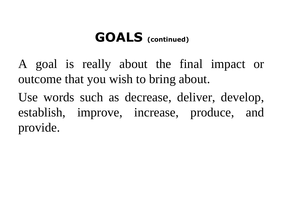#### **GOALS (continued)**

A goal is really about the final impact or outcome that you wish to bring about.

Use words such as decrease, deliver, develop, establish, improve, increase, produce, and provide.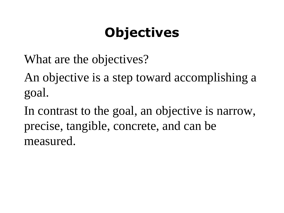### **Objectives**

What are the objectives?

An objective is a step toward accomplishing a goal.

In contrast to the goal, an objective is narrow, precise, tangible, concrete, and can be measured.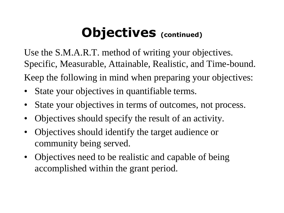### **Objectives (continued)**

Use the S.M.A.R.T. method of writing your objectives. Specific, Measurable, Attainable, Realistic, and Time-bound. Keep the following in mind when preparing your objectives:

- State your objectives in quantifiable terms.
- State your objectives in terms of outcomes, not process.
- Objectives should specify the result of an activity.
- Objectives should identify the target audience or community being served.
- Objectives need to be realistic and capable of being accomplished within the grant period.